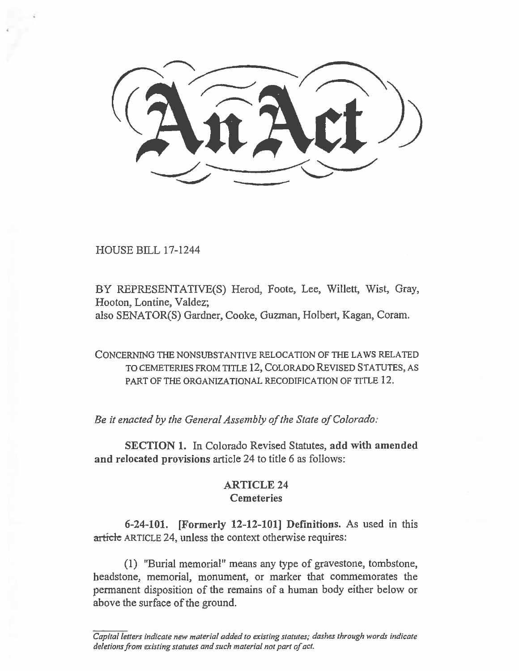HOUSE BILL 17-1244

BY REPRESENTATIVE(S) Herod, Foote, Lee, Willett, Wist, Gray, Hooton, Lontine, Valdez;

also SENATOR(S) Gardner, Cooke, Guzman, Holbert, Kagan, Coram.

CONCERNING THE NONSUBSTANTIVE RELOCATION OF THE LAWS RELATED TO CEMETERIES FROM TITLE 12, COLORADO REVISED STATUTES, AS PART OF THE ORGANIZATIONAL RECODIFICATION OF TITLE 12.

*Be it enacted by the General Assembly of the State of Colorado:* 

**SECTION 1.** In Colorado Revised Statutes, **add with amended and relocated provisions** article 24 to title 6 as follows:

# **ARTICLE 24 Cemeteries**

**6-24-101. (Formerly 12-12-101] Definitions.** As used in this article ARTICLE 24, unless the context otherwise requires:

(1) "Burial memorial" means any type of gravestone, tombstone, headstone, memorial, monument, or marker that commemorates the permanent disposition of the remains of a human body either below or above the surface of the ground.

*Capital letters indicate new material added to existing statutes; dashes through words indicate deletions from existing statutes and such material not part of act.*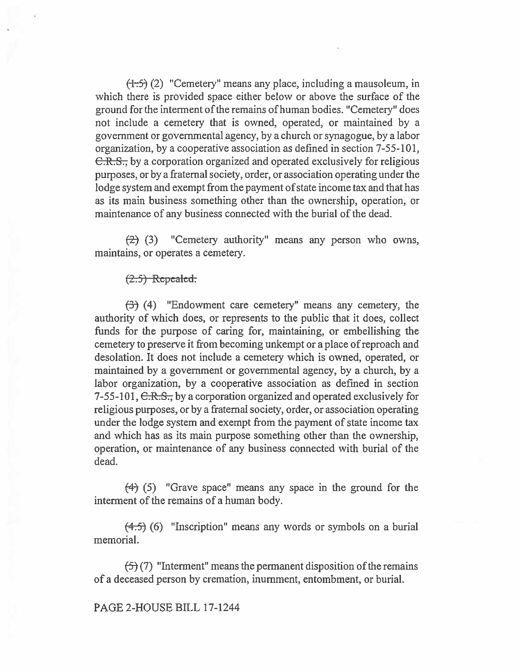$(1.5)$  (2) "Cemetery" means any place, including a mausoleum, in which there is provided space either below or above the surface of the ground for the interment of the remains of human bodies. "Cemetery" does not include a cemetery that is owned, operated, or maintained by a government or governmental agency, by a church or synagogue, by a labor organization, by a cooperative association as defined in section 7-55-101, C.R.S., by a corporation organized and operated exclusively for religious purposes, or by a fraternal society, order, or association operating under the lodge system and exempt from the payment of state income tax and that has as its main business something other than the ownership, operation, or maintenance of any business connected with the burial of the dead.

 $(2)$  (3) "Cemetery authority" means any person who owns, maintains, or operates a cemetery.

### $(2.5)$  Repealed.

 $(3)$  (4) "Endowment care cemetery" means any cemetery, the authority of which does, or represents to the public that it does, collect funds for the purpose of caring for, maintaining, or embellishing the cemetery to preserve it from becoming unkempt or a place of reproach and desolation. It does not include a cemetery which is owned, operated, or maintained by a government or governmental agency, by a church, by a labor organization, by a cooperative association as defined in section 7-55-101, C.R.S., by a corporation organized and operated exclusively for religious purposes, or by a fraternal society, order, or association operating under the lodge system **and exempt from** the payment of state income tax and which has as its main purpose something other than the ownership, operation, **or** maintenance of any business connected with burial of the dead.

(-4-) (5) "Grave space" means any space in the **ground for the**  interment of the remains of a human body.

 $(4.5)$  (6) "Inscription" means any words or symbols on a burial memorial.

 $(5)(7)$  "Interment" means the permanent disposition of the remains of a deceased person by cremation, inurnment, entombment, or burial.

#### PAGE 2-HOUSE BILL 17-1244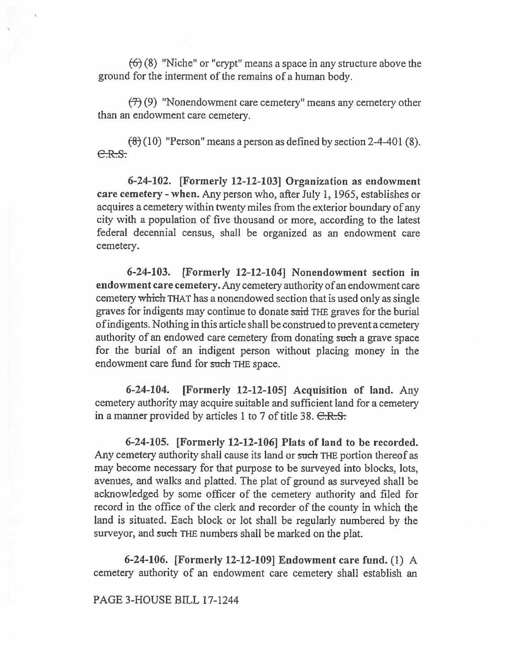$(6)$  (8) "Niche" or "crypt" means a space in any structure above the ground for the interment of the remains of a human body.

 $(7)(9)$  "Nonendowment care cemetery" means any cemetery other than an endowment care cemetery.

 $(8)(10)$  "Person" means a person as defined by section 2-4-401 (8). C.R.S.

**6-24-102. [Formerly 12-12-103] Organization as endowment care cemetery - when.** Any person who, after July 1, 1965, establishes or acquires a cemetery within twenty miles from the exterior boundary of any city with a population of five thousand or more, according to the latest federal decennial census, shall be organized as an endowment care cemetery.

**6-24-103. [Formerly 12-12-104] Nonendowment section in endowment care cemetery.** Any cemetery authority of an endowment care cemetery which THAT has a nonendowed section that is used only as single graves for indigents may continue to donate said THE graves for the burial of indigents. Nothing in this article shall be construed to prevent a cemetery authority of an endowed care cemetery from donating such a grave space for the burial of an indigent person without placing money in the endowment care fund for such THE space.

**6-24-104. [Formerly 12-12-105] Acquisition of land.** Any cemetery authority may acquire suitable and sufficient land for **a** cemetery in a manner provided by articles 1 to 7 of title 38.  $C.R.S.$ 

6-24-105. [Formerly 12-12-106] Plats of land **to be recorded.**  Any cemetery authority shall cause its land or such THE portion thereof as may become necessary for that purpose to be surveyed into blocks, lots, avenues, and walks and platted. The plat of ground as surveyed shall be acknowledged by some officer of the cemetery authority and filed for record in the office of the clerk and recorder of the county in which the land is situated. Each block or lot shall be regularly numbered by the surveyor, and such THE numbers shall be marked on the plat.

**6-24-106. [Formerly 12-12-109] Endowment care fund. (1)** A cemetery authority of an endowment care cemetery shall establish an

### PAGE 3-HOUSE BILL 17-1244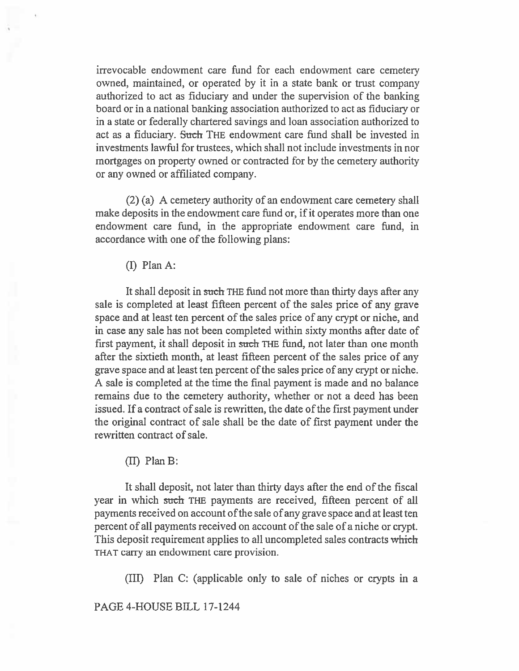irrevocable endowment care fund for each endowment care cemetery owned, maintained, or operated by it in a state bank or trust company authorized to act as fiduciary and under the supervision of the banking board or in a national banking association authorized to act as fiduciary or in a state or federally chartered savings and loan association authorized to act as a fiduciary. Such THE endowment care fund shall be invested in investments lawful for trustees, which shall not include investments in nor mortgages on property owned or contracted for by the cemetery authority or any owned or affiliated company.

(2) (a) A cemetery authority of an endowment care cemetery shall make deposits in the endowment care fund or, if it operates more than one endowment care fund, in the appropriate endowment care fund, in accordance with one of the following plans:

(I) Plan A:

It shall deposit in such THE fund not more than thirty days after any sale is completed at least fifteen percent of the sales price of any grave space and at least ten percent of the sales price of any crypt or niche, and in case any sale has not been completed within sixty months after date of first payment, it shall deposit in such THE fund, not later than one month after the sixtieth month, at least fifteen percent of the sales price of any grave space and at least ten percent of the sales price of any crypt or niche. A sale is completed at the time the final payment is made and no balance remains due to the cemetery authority, whether or not a deed has been issued. If a contract of sale is rewritten, the date of the first payment under the original contract of sale shall be the date of first payment under the rewritten contract of sale.

(11) Plan B:

It shall deposit, not later than thirty days after the end of the fiscal year in which such THE payments are received, fifteen percent of all payments received on account of the sale of any grave space and at least ten percent of all payments received on account of the sale of a niche or crypt. This deposit requirement applies to all uncompleted sales contracts which THAT carry an endowment care provision.

(III) Plan C: (applicable only to sale of niches or crypts in a

### PAGE 4-HOUSE BILL 17-1244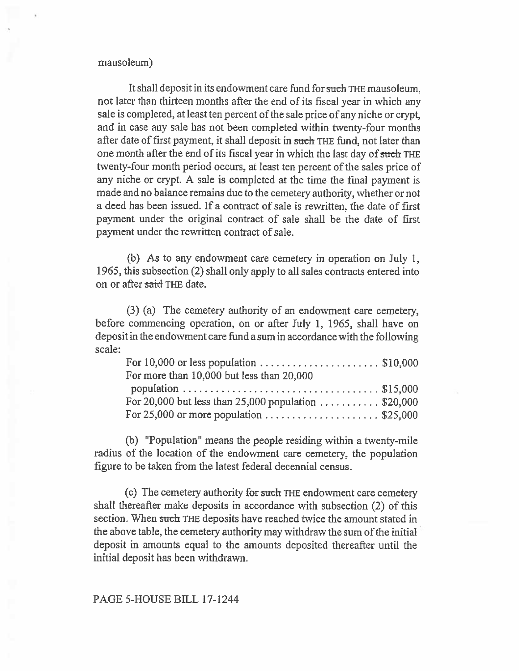mausoleum)

It shall deposit in its endowment care fund for such THE mausoleum, not later than thirteen months after the end of its fiscal year in which any sale is completed, at least ten percent of the sale price of any niche or crypt, and in case any sale has not been completed within twenty-four months after date of first payment, it shall deposit in such THE fund, not later than one month after the end of its fiscal year in which the last day of such THE twenty-four month period occurs, at least ten percent of the sales price of any niche or crypt. A sale is completed at the time the final payment is made and no balance remains due to the cemetery authority, whether or not a deed has been issued. If a contract of sale is rewritten, the date of first payment under the original contract of sale shall be the date of first payment under the rewritten contract of sale.

(b) As to any endowment care cemetery in operation on July 1, 1965, this subsection (2) shall only apply to all sales contracts entered into on or after said THE date.

(3) (a) The cemetery authority of an endowment care cemetery, before commencing operation, on or after July 1, 1965, shall have on deposit in the endowment care fund a sum in accordance with the following scale:

| For more than 10,000 but less than 20,000                                  |  |
|----------------------------------------------------------------------------|--|
|                                                                            |  |
| For 20,000 but less than 25,000 population $\ldots \ldots \ldots$ \$20,000 |  |
| For 25,000 or more population \$25,000                                     |  |

(b) "Population" means the people residing within a twenty-mile radius of the location of the endowment care cemetery, the population figure to be taken from the latest federal decennial census.

(c) The cemetery authority for such THE endowment care cemetery shall thereafter make deposits in accordance with subsection (2) of this section. When such THE deposits have reached twice the amount stated in the above table, the cemetery authority may withdraw the sum of the initial deposit in amounts equal to the amounts deposited thereafter until the initial deposit has been withdrawn.

#### PAGE 5-HOUSE BILL 17-1244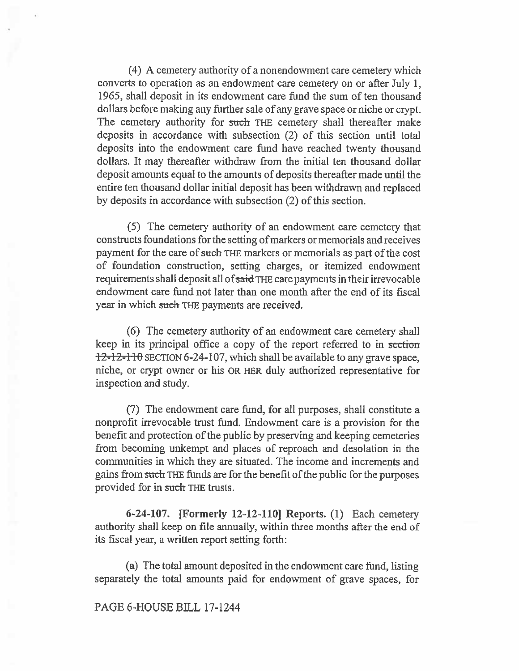(4) A cemetery authority of a nonendowment care cemetery which converts to operation as an endowment care cemetery on or after July 1, 1965, shall deposit in its endowment care fund the sum of ten thousand dollars before making any further sale of any grave space or niche or crypt. The cemetery authority for such THE cemetery shall thereafter make deposits in accordance with subsection (2) of this section until total deposits into the endowment care fund have reached twenty thousand dollars. It may thereafter withdraw from the initial ten thousand dollar deposit amounts equal to the amounts of deposits thereafter made until the entire ten thousand dollar initial deposit has been withdrawn and replaced by deposits in accordance with subsection (2) of this section.

(5) The cemetery authority of an endowment care cemetery that constructs foundations for the setting of markers or memorials and receives payment for the care of such THE markers or memorials as part of the cost of foundation construction, setting charges, or itemized endowment requirements shall deposit all of said THE care payments in their irrevocable endowment care fund not later than one month after the end of its fiscal year in which **such** THE payments are received.

(6) The cemetery authority of an endowment care cemetery shall keep in its principal office a copy of the report referred to in section  $12-12-110$  SECTION 6-24-107, which shall be available to any grave space, niche, or crypt owner or his OR HER **duly** authorized representative for inspection and study.

(7) The endowment care fund, for all purposes, shall constitute a nonprofit irrevocable trust fund. Endowment care is a provision for the benefit and protection of the public by preserving and keeping cemeteries from becoming unkempt and places of reproach and desolation in the communities in which they are situated. The income and increments and gains from such THE funds are for the benefit of the public for the purposes provided for in such THE trusts.

6-24-107. [Formerly 12-12-110] Reports. (1) Each cemetery authority shall keep on file annually, within three months after the end of its fiscal year, a written report setting forth:

(a) The total amount deposited in the endowment care fund, listing separately the total amounts paid for endowment of grave spaces, for

## PAGE 6-HOUSE BILL 17-1244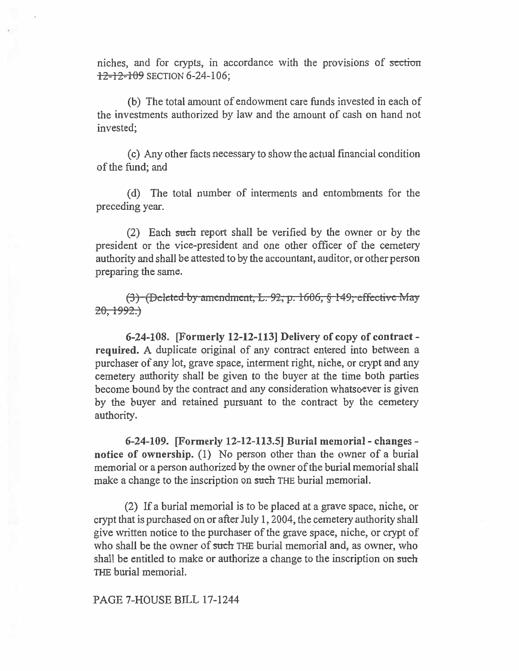niches, and for crypts, in accordance with the provisions of section  $12-12-109$  SECTION 6-24-106;

(b) The total amount of endowment care funds invested in each of the investments authorized by law and the amount of cash on hand not invested;

(c) Any other facts necessary to show the actual financial condition of the fund; and

(d) The total number of interments and entombments for the preceding year.

(2) Each such report shall be verified by the owner or by the president or the vice-president and one other officer of the cemetery authority and shall be attested to by the accountant, auditor, or other person preparing the same.

) (Deleted by amendment, L. 92; p. 1606, § 149; effective May  $20, 1992.$ 

**6-24-108. [Formerly 12-12-113] Delivery of copy of contract required.** A duplicate original of any contract entered into between a purchaser of any lot, grave space, interment right, niche, or crypt and any cemetery authority shall be given to the buyer at the time both parties become bound by the contract and any consideration whatsoever is given by the buyer and retained pursuant to the contract by the cemetery authority.

**6-24-109. [Formerly 12-12-113.5] Burial memorial - changes notice of ownership.** (1) No person other than the owner of a burial memorial or a person authorized by the owner of the burial memorial shall make a change to the inscription on such THE burial memorial.

(2) If a burial memorial is to be placed at a grave space, niche, or crypt that is purchased on or after July 1, 2004, the cemetery authority shall give written notice to the purchaser of the grave space, niche, or crypt of who shall be the owner of such THE burial memorial and, as owner, who shall be entitled to make or authorize a change to the inscription on such THE burial memorial.

#### PAGE 7-HOUSE BILL 17-1244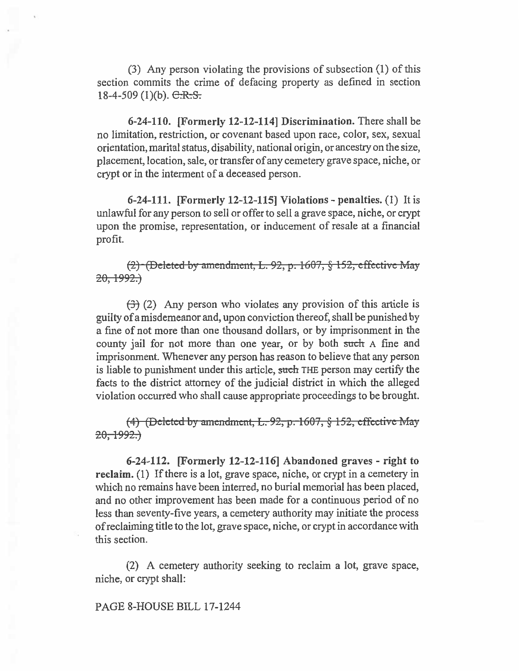(3) Any person violating the provisions of subsection (1) of this section commits the crime of defacing property as defined in section 18-4-509 (1)(b).  $C.R.S.$ 

**6-24-110. [Formerly 12-12-114] Discrimination.** There shall be no limitation, restriction, or covenant based upon race, color, sex, sexual orientation, marital status, disability, national origin, or ancestry on the size, placement, location, sale, or transfer of any cemetery grave space, niche, or crypt or in the interment of a deceased person.

**6-24-111. [Formerly 12-12-115] Violations - penalties.** (1) It is unlawful for any person to sell or offer to sell a grave space, niche, or crypt upon the promise, representation, or inducement of resale at a financial profit.

(<del>2) (Deleted by amendment, L. 92, p. 1607, § 152, effective May</del>  $20, 1992.$ 

 $(3)$  (2) Any person who violates any provision of this article is guilty of a misdemeanor and, upon conviction thereof, shall be punished by a fine of not more than one thousand dollars, or by imprisonment in the county jail for not more than one year, or by both such A fine and imprisonment. Whenever any person has reason to believe that any person is liable to punishment under this article, such THE person may certify the facts to the district attorney of the judicial district in which the alleged violation occurred who shall cause appropriate proceedings to be brought.

 $(4)$  (Deleted by amendment, L. 92, p. 1607, § 152, effective May **<sup>2</sup>** 1992**.**)

**6-24-112. [Formerly 12-12-116] Abandoned graves - right to reclaim.** (1) If there is a lot, grave space, niche, or crypt in a cemetery in which no remains have been interred, no burial memorial has been placed, and no other improvement has been made for a continuous period of no less than seventy-five years, a cemetery authority may initiate the process of reclaiming title to the lot, grave space, niche, or crypt in accordance with this section.

(2) A cemetery authority seeking to reclaim a lot, grave space, niche, or crypt shall:

PAGE 8-HOUSE BILL 17-1244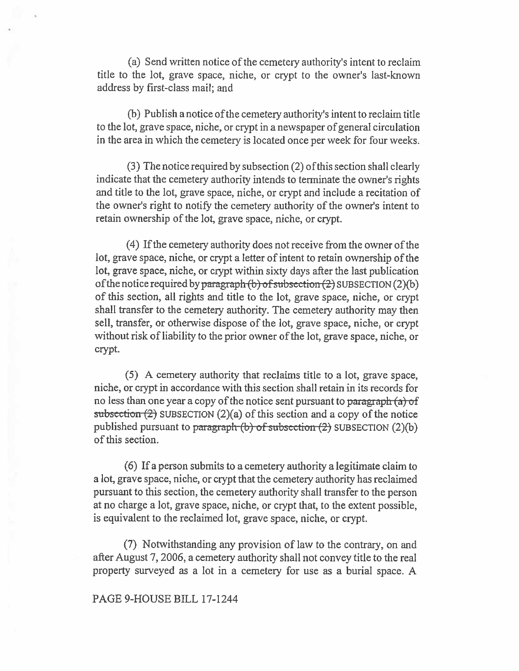(a) Send written notice of the cemetery authority's intent to reclaim title to the lot, grave space, niche, or crypt to the owner's last-known address by first-class mail; and

(b) Publish a notice of the cemetery authority's intent to reclaim title to the lot, grave space, niche, or crypt in a newspaper of general circulation in the area in which the cemetery is located once per week for four weeks.

(3) The notice required by subsection (2) of this section shall clearly indicate that the cemetery authority intends to terminate the owner's rights and title to the lot, grave space, niche, or crypt and include a recitation of the owner's right to notify the cemetery authority of the owner's intent to retain ownership of the lot, grave space, niche, or crypt.

(4) If the cemetery authority does not receive from the owner of the lot, grave space, niche, or crypt a letter of intent to retain ownership of the lot, grave space, niche, or crypt within sixty days after the last publication of the notice required by paragraph (b) of subsection (2) SUBSECTION (2)(b) of this section, all rights and title to the lot, grave space, niche, or crypt shall transfer to the cemetery authority. The cemetery authority may then sell, transfer, or otherwise dispose of the lot, grave space, niche, or crypt without risk of liability to the prior owner of the lot, grave space, niche, or crypt.

(5) A cemetery authority that reclaims title to a lot, grave space, niche, or crypt in accordance with this section shall retain in its records for no less than one year a copy of the notice sent pursuant to paragraph  $(a)$  of subsection  $(2)$  SUBSECTION  $(2)(a)$  of this section and a copy of the notice published pursuant to paragraph  $(b)$  of subsection  $(2)$  SUBSECTION  $(2)(b)$ of this section.

(6) If a person submits to a cemetery authority a legitimate claim to a lot, grave space, niche, or crypt that the cemetery authority has reclaimed pursuant to this section, the cemetery authority shall transfer to the person at no charge a lot, grave space, niche, or crypt that, to the extent possible, is equivalent to the reclaimed lot, grave space, niche, or crypt.

(7) Notwithstanding any provision of law to the contrary, on and after August 7, 2006, a cemetery authority shall not convey title to the real property surveyed as a lot in a cemetery for use *as* a burial space. A

#### PAGE 9-HOUSE BILL 17-1244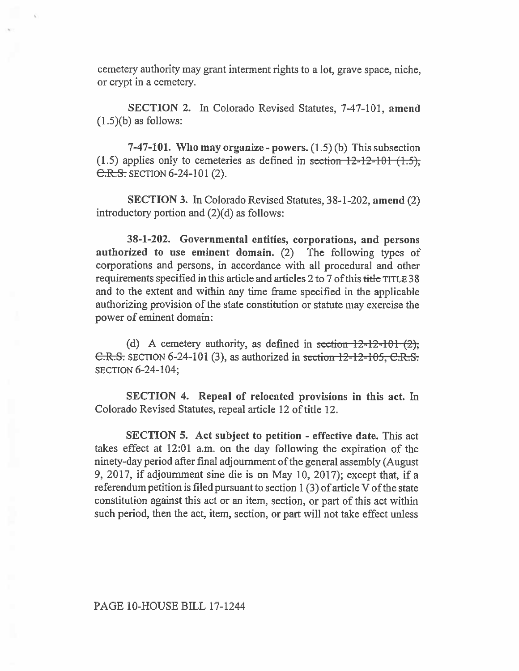cemetery authority may grant interment rights to a lot, grave space, niche, or crypt in a cemetery.

**SECTION** 2. In Colorado **Revised** Statutes, 7-47-101, **amend (1.5)(b) as follows:** 

**7-47-101. Who may organize - powers.** (1.5) (b) This subsection  $(1.5)$  applies only to cemeteries as defined in section  $12-12-101$   $(1.5)$ , **C.R.S.** SECTION 6-24-101 (2).

**SECTION 3. In Colorado Revised** Statutes, 38-1-202, **amend** (2) introductory portion and (2)(d) as follows:

**38-1-202. Governmental entities, corporations, and persons authorized to use eminent domain.** (2) The following types of corporations and persons, in accordance with all procedural and other requirements specified in this article and articles 2 to 7 of this title TITLE 38 and to the extent and within any time frame specified in the applicable authorizing provision of the state constitution or statute may exercise the power of eminent domain:

(d) A cemetery authority, as defined in section  $12-12-101$  (2), C.R.S. SECTION  $6-24-101$  (3), as authorized in section  $12-12-105$ , C.R.S. SECTION 6-24-104;

**SECTION 4. Repeal of relocated provisions in this act.** In Colorado Revised Statutes, repeal article 12 of title 12.

**SECTION 5. Act subject to petition - effective date.** This act takes effect at 12:01 a.m. on the day following the expiration of the ninety-day period after final adjournment of the general assembly (August 9, 2017, if adjournment sine die is **on May** 10, 2017); except that, **if a**  referendum petition is **filed pursuant** to section 1(3) of article V of the state constitution against this act or an item, section, or part of this act within such period, then the act, item, section, or part will not take effect unless